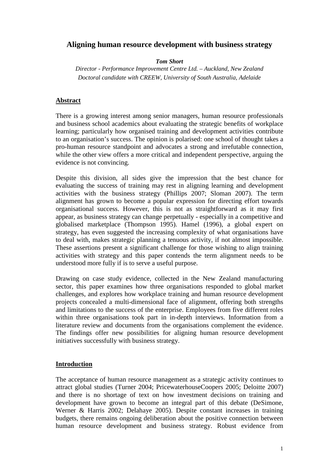# **Aligning human resource development with business strategy**

*Tom Short* 

*Director - Performance Improvement Centre Ltd. – Auckland, New Zealand Doctoral candidate with CREEW, University of South Australia, Adelaide* 

## **Abstract**

There is a growing interest among senior managers, human resource professionals and business school academics about evaluating the strategic benefits of workplace learning; particularly how organised training and development activities contribute to an organisation's success. The opinion is polarised: one school of thought takes a pro-human resource standpoint and advocates a strong and irrefutable connection, while the other view offers a more critical and independent perspective, arguing the evidence is not convincing.

Despite this division, all sides give the impression that the best chance for evaluating the success of training may rest in aligning learning and development activities with the business strategy (Phillips 2007; Sloman 2007). The term alignment has grown to become a popular expression for directing effort towards organisational success. However, this is not as straightforward as it may first appear, as business strategy can change perpetually - especially in a competitive and globalised marketplace (Thompson 1995). Hamel (1996), a global expert on strategy, has even suggested the increasing complexity of what organisations have to deal with, makes strategic planning a tenuous activity, if not almost impossible. These assertions present a significant challenge for those wishing to align training activities with strategy and this paper contends the term alignment needs to be understood more fully if is to serve a useful purpose.

Drawing on case study evidence, collected in the New Zealand manufacturing sector, this paper examines how three organisations responded to global market challenges, and explores how workplace training and human resource development projects concealed a multi-dimensional face of alignment, offering both strengths and limitations to the success of the enterprise. Employees from five different roles within three organisations took part in in-depth interviews. Information from a literature review and documents from the organisations complement the evidence. The findings offer new possibilities for aligning human resource development initiatives successfully with business strategy.

## **Introduction**

The acceptance of human resource management as a strategic activity continues to attract global studies (Turner 2004; PricewaterhouseCoopers 2005; Deloitte 2007) and there is no shortage of text on how investment decisions on training and development have grown to become an integral part of this debate (DeSimone, Werner & Harris 2002; Delahaye 2005). Despite constant increases in training budgets, there remains ongoing deliberation about the positive connection between human resource development and business strategy. Robust evidence from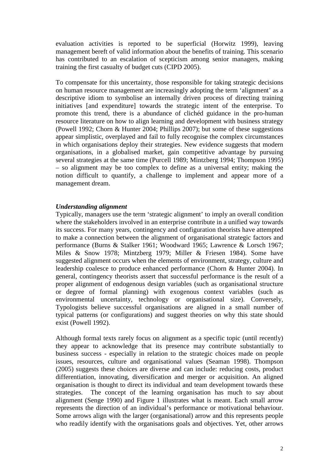evaluation activities is reported to be superficial (Horwitz 1999), leaving management bereft of valid information about the benefits of training. This scenario has contributed to an escalation of scepticism among senior managers, making training the first casualty of budget cuts (CIPD 2005).

To compensate for this uncertainty, those responsible for taking strategic decisions on human resource management are increasingly adopting the term 'alignment' as a descriptive idiom to symbolise an internally driven process of directing training initiatives [and expenditure] towards the strategic intent of the enterprise. To promote this trend, there is a abundance of clichéd guidance in the pro-human resource literature on how to align learning and development with business strategy (Powell 1992; Chorn & Hunter 2004; Phillips 2007); but some of these suggestions appear simplistic, overplayed and fail to fully recognise the complex circumstances in which organisations deploy their strategies. New evidence suggests that modern organisations, in a globalised market, gain competitive advantage by pursuing several strategies at the same time (Purcell 1989; Mintzberg 1994; Thompson 1995) – so alignment may be too complex to define as a universal entity; making the notion difficult to quantify, a challenge to implement and appear more of a management dream.

#### *Understanding alignment*

Typically, managers use the term 'strategic alignment' to imply an overall condition where the stakeholders involved in an enterprise contribute in a unified way towards its success. For many years, contingency and configuration theorists have attempted to make a connection between the alignment of organisational strategic factors and performance (Burns & Stalker 1961; Woodward 1965; Lawrence & Lorsch 1967; Miles & Snow 1978; Mintzberg 1979; Miller & Friesen 1984). Some have suggested alignment occurs when the elements of environment, strategy, culture and leadership coalesce to produce enhanced performance (Chorn & Hunter 2004). In general, contingency theorists assert that successful performance is the result of a proper alignment of endogenous design variables (such as organisational structure or degree of formal planning) with exogenous context variables (such as environmental uncertainty, technology or organisational size). Conversely, Typologists believe successful organisations are aligned in a small number of typical patterns (or configurations) and suggest theories on why this state should exist (Powell 1992).

Although formal texts rarely focus on alignment as a specific topic (until recently) they appear to acknowledge that its presence may contribute substantially to business success - especially in relation to the strategic choices made on people issues, resources, culture and organisational values (Seaman 1998). Thompson (2005) suggests these choices are diverse and can include: reducing costs, product differentiation, innovating, diversification and merger or acquisition. An aligned organisation is thought to direct its individual and team development towards these strategies. The concept of the learning organisation has much to say about alignment (Senge 1990) and Figure 1 illustrates what is meant. Each small arrow represents the direction of an individual's performance or motivational behaviour. Some arrows align with the larger (organisational) arrow and this represents people who readily identify with the organisations goals and objectives. Yet, other arrows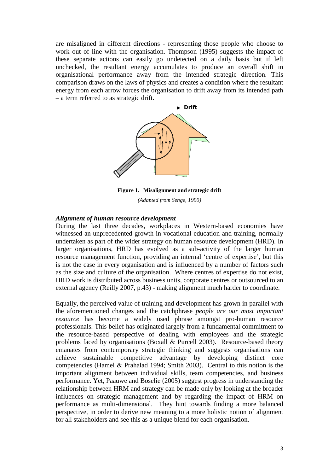are misaligned in different directions - representing those people who choose to work out of line with the organisation. Thompson (1995) suggests the impact of these separate actions can easily go undetected on a daily basis but if left unchecked, the resultant energy accumulates to produce an overall shift in organisational performance away from the intended strategic direction. This comparison draws on the laws of physics and creates a condition where the resultant energy from each arrow forces the organisation to drift away from its intended path – a term referred to as strategic drift.



**Figure 1. Misalignment and strategic drift**  *(Adapted from Senge, 1990)* 

#### *Alignment of human resource development*

During the last three decades, workplaces in Western-based economies have witnessed an unprecedented growth in vocational education and training, normally undertaken as part of the wider strategy on human resource development (HRD). In larger organisations, HRD has evolved as a sub-activity of the larger human resource management function, providing an internal 'centre of expertise', but this is not the case in every organisation and is influenced by a number of factors such as the size and culture of the organisation. Where centres of expertise do not exist, HRD work is distributed across business units, corporate centres or outsourced to an external agency (Reilly 2007, p.43) - making alignment much harder to coordinate.

Equally, the perceived value of training and development has grown in parallel with the aforementioned changes and the catchphrase *people are our most important resource* has become a widely used phrase amongst pro-human resource professionals. This belief has originated largely from a fundamental commitment to the resource-based perspective of dealing with employees and the strategic problems faced by organisations (Boxall & Purcell 2003). Resource-based theory emanates from contemporary strategic thinking and suggests organisations can achieve sustainable competitive advantage by developing distinct core competencies (Hamel & Prahalad 1994; Smith 2003). Central to this notion is the important alignment between individual skills, team competencies, and business performance. Yet, Paauwe and Boselie (2005) suggest progress in understanding the relationship between HRM and strategy can be made only by looking at the broader influences on strategic management and by regarding the impact of HRM on performance as multi-dimensional. They hint towards finding a more balanced perspective, in order to derive new meaning to a more holistic notion of alignment for all stakeholders and see this as a unique blend for each organisation.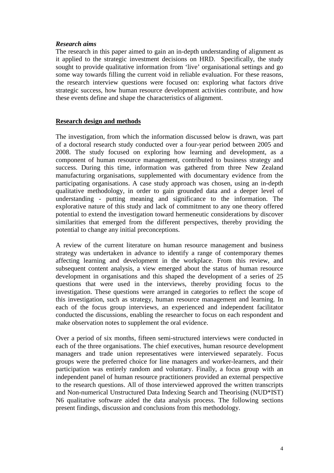#### *Research aims*

The research in this paper aimed to gain an in-depth understanding of alignment as it applied to the strategic investment decisions on HRD. Specifically, the study sought to provide qualitative information from 'live' organisational settings and go some way towards filling the current void in reliable evaluation. For these reasons, the research interview questions were focused on: exploring what factors drive strategic success, how human resource development activities contribute, and how these events define and shape the characteristics of alignment.

## **Research design and methods**

The investigation, from which the information discussed below is drawn, was part of a doctoral research study conducted over a four-year period between 2005 and 2008. The study focused on exploring how learning and development, as a component of human resource management, contributed to business strategy and success. During this time, information was gathered from three New Zealand manufacturing organisations, supplemented with documentary evidence from the participating organisations. A case study approach was chosen, using an in-depth qualitative methodology, in order to gain grounded data and a deeper level of understanding - putting meaning and significance to the information. The explorative nature of this study and lack of commitment to any one theory offered potential to extend the investigation toward hermeneutic considerations by discover similarities that emerged from the different perspectives, thereby providing the potential to change any initial preconceptions.

A review of the current literature on human resource management and business strategy was undertaken in advance to identify a range of contemporary themes affecting learning and development in the workplace. From this review, and subsequent content analysis, a view emerged about the status of human resource development in organisations and this shaped the development of a series of 25 questions that were used in the interviews, thereby providing focus to the investigation. These questions were arranged in categories to reflect the scope of this investigation, such as strategy, human resource management and learning. In each of the focus group interviews, an experienced and independent facilitator conducted the discussions, enabling the researcher to focus on each respondent and make observation notes to supplement the oral evidence.

Over a period of six months, fifteen semi-structured interviews were conducted in each of the three organisations. The chief executives, human resource development managers and trade union representatives were interviewed separately. Focus groups were the preferred choice for line managers and worker-learners, and their participation was entirely random and voluntary. Finally, a focus group with an independent panel of human resource practitioners provided an external perspective to the research questions. All of those interviewed approved the written transcripts and Non-numerical Unstructured Data Indexing Search and Theorising (NUD\*IST) N6 qualitative software aided the data analysis process. The following sections present findings, discussion and conclusions from this methodology.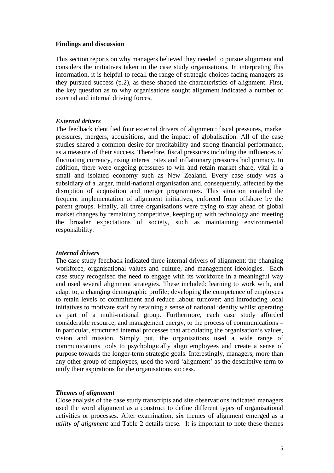#### **Findings and discussion**

This section reports on why managers believed they needed to pursue alignment and considers the initiatives taken in the case study organisations. In interpreting this information, it is helpful to recall the range of strategic choices facing managers as they pursued success (p.2), as these shaped the characteristics of alignment. First, the key question as to why organisations sought alignment indicated a number of external and internal driving forces.

## *External drivers*

The feedback identified four external drivers of alignment: fiscal pressures, market pressures, mergers, acquisitions, and the impact of globalisation. All of the case studies shared a common desire for profitability and strong financial performance, as a measure of their success. Therefore, fiscal pressures including the influences of fluctuating currency, rising interest rates and inflationary pressures had primacy. In addition, there were ongoing pressures to win and retain market share, vital in a small and isolated economy such as New Zealand. Every case study was a subsidiary of a larger, multi-national organisation and, consequently, affected by the disruption of acquisition and merger programmes. This situation entailed the frequent implementation of alignment initiatives, enforced from offshore by the parent groups. Finally, all three organisations were trying to stay ahead of global market changes by remaining competitive, keeping up with technology and meeting the broader expectations of society, such as maintaining environmental responsibility.

## *Internal drivers*

The case study feedback indicated three internal drivers of alignment: the changing workforce, organisational values and culture, and management ideologies. Each case study recognised the need to engage with its workforce in a meaningful way and used several alignment strategies. These included: learning to work with, and adapt to, a changing demographic profile; developing the competence of employees to retain levels of commitment and reduce labour turnover; and introducing local initiatives to motivate staff by retaining a sense of national identity whilst operating as part of a multi-national group. Furthermore, each case study afforded considerable resource, and management energy, to the process of communications – in particular, structured internal processes that articulating the organisation's values, vision and mission. Simply put, the organisations used a wide range of communications tools to psychologically align employees and create a sense of purpose towards the longer-term strategic goals. Interestingly, managers, more than any other group of employees, used the word 'alignment' as the descriptive term to unify their aspirations for the organisations success.

## *Themes of alignment*

Close analysis of the case study transcripts and site observations indicated managers used the word alignment as a construct to define different types of organisational activities or processes. After examination, six themes of alignment emerged as a *utility of alignment* and Table 2 details these. It is important to note these themes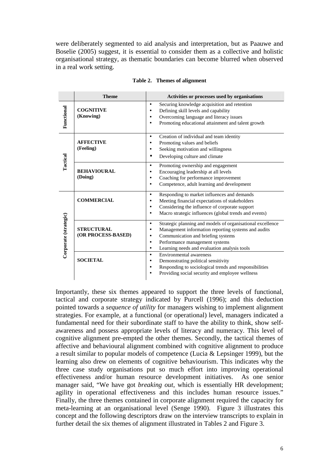were deliberately segmented to aid analysis and interpretation, but as Paauwe and Boselie (2005) suggest, it is essential to consider them as a collective and holistic organisational strategy, as thematic boundaries can become blurred when observed in a real work setting.

|                       | <b>Theme</b>                            | Activities or processes used by organisations                                                                                                                                                                                                                                                              |
|-----------------------|-----------------------------------------|------------------------------------------------------------------------------------------------------------------------------------------------------------------------------------------------------------------------------------------------------------------------------------------------------------|
| Functional            | <b>COGNITIVE</b><br>(Knowing)           | Securing knowledge acquisition and retention<br>$\bullet$<br>Defining skill levels and capability<br>Overcoming language and literacy issues<br>$\bullet$<br>Promoting educational attainment and talent growth                                                                                            |
| Tactical              | <b>AFFECTIVE</b><br>(Feeling)           | Creation of individual and team identity<br>$\bullet$<br>Promoting values and beliefs<br>Seeking motivation and willingness<br>$\bullet$<br>Developing culture and climate                                                                                                                                 |
|                       | <b>BEHAVIOURAL</b><br>(Doing)           | Promoting ownership and engagement<br>$\bullet$<br>Encouraging leadership at all levels<br>$\bullet$<br>Coaching for performance improvement<br>$\bullet$<br>Competence, adult learning and development<br>٠                                                                                               |
| Corporate (strategic) | <b>COMMERCIAL</b>                       | Responding to market influences and demands<br>$\bullet$<br>Meeting financial expectations of stakeholders<br>Considering the influence of corporate support<br>$\bullet$<br>Macro strategic influences (global trends and events)                                                                         |
|                       | <b>STRUCTURAL</b><br>(OR PROCESS-BASED) | Strategic planning and models of organisational excellence<br>$\bullet$<br>Management information reporting systems and audits<br>$\bullet$<br>Communication and briefing systems<br>$\bullet$<br>Performance management systems<br>$\bullet$<br>Learning needs and evaluation analysis tools<br>$\bullet$ |
|                       | <b>SOCIETAL</b>                         | Environmental awareness<br>$\bullet$<br>Demonstrating political sensitivity<br>Responding to sociological trends and responsibilities<br>$\bullet$<br>Providing social security and employee wellness                                                                                                      |

**Table 2. Themes of alignment** 

Importantly, these six themes appeared to support the three levels of functional, tactical and corporate strategy indicated by Purcell (1996); and this deduction pointed towards a *sequence of utility* for managers wishing to implement alignment strategies. For example, at a functional (or operational) level, managers indicated a fundamental need for their subordinate staff to have the ability to think, show selfawareness and possess appropriate levels of literacy and numeracy. This level of cognitive alignment pre-empted the other themes. Secondly, the tactical themes of affective and behavioural alignment combined with cognitive alignment to produce a result similar to popular models of competence (Lucia & Lepsinger 1999), but the learning also drew on elements of cognitive behaviourism. This indicates why the three case study organisations put so much effort into improving operational effectiveness and/or human resource development initiatives. As one senior manager said, "We have got *breaking out*, which is essentially HR development; agility in operational effectiveness and this includes human resource issues." Finally, the three themes contained in corporate alignment required the capacity for meta-learning at an organisational level (Senge 1990). Figure 3 illustrates this concept and the following descriptors draw on the interview transcripts to explain in further detail the six themes of alignment illustrated in Tables 2 and Figure 3.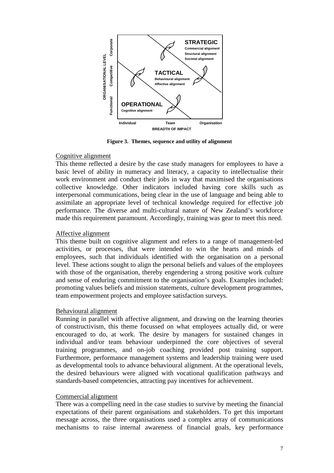

**Figure 3. Themes, sequence and utility of alignment** 

## Cognitive alignment

This theme reflected a desire by the case study managers for employees to have a basic level of ability in numeracy and literacy, a capacity to intellectualise their work environment and conduct their jobs in way that maximised the organisations collective knowledge. Other indicators included having core skills such as interpersonal communications, being clear in the use of language and being able to assimilate an appropriate level of technical knowledge required for effective job performance. The diverse and multi-cultural nature of New Zealand's workforce made this requirement paramount. Accordingly, training was gear to meet this need.

## Affective alignment

This theme built on cognitive alignment and refers to a range of management-led activities, or processes, that were intended to win the hearts and minds of employees, such that individuals identified with the organisation on a personal level. These actions sought to align the personal beliefs and values of the employees with those of the organisation, thereby engendering a strong positive work culture and sense of enduring commitment to the organisation's goals. Examples included: promoting values beliefs and mission statements, culture development programmes, team empowerment projects and employee satisfaction surveys.

#### Behavioural alignment

Running in parallel with affective alignment, and drawing on the learning theories of constructivism, this theme focussed on what employees actually did, or were encouraged to do, at work. The desire by managers for sustained changes in individual and/or team behaviour underpinned the core objectives of several training programmes, and on-job coaching provided post training support. Furthermore, performance management systems and leadership training were used as developmental tools to advance behavioural alignment. At the operational levels, the desired behaviours were aligned with vocational qualification pathways and standards-based competencies, attracting pay incentives for achievement.

#### Commercial alignment

There was a compelling need in the case studies to survive by meeting the financial expectations of their parent organisations and stakeholders. To get this important message across, the three organisations used a complex array of communications mechanisms to raise internal awareness of financial goals, key performance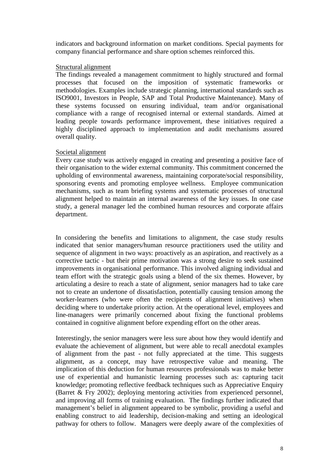indicators and background information on market conditions. Special payments for company financial performance and share option schemes reinforced this.

#### Structural alignment

The findings revealed a management commitment to highly structured and formal processes that focused on the imposition of systematic frameworks or methodologies. Examples include strategic planning, international standards such as ISO9001, Investors in People, SAP and Total Productive Maintenance). Many of these systems focussed on ensuring individual, team and/or organisational compliance with a range of recognised internal or external standards. Aimed at leading people towards performance improvement, these initiatives required a highly disciplined approach to implementation and audit mechanisms assured overall quality.

## Societal alignment

Every case study was actively engaged in creating and presenting a positive face of their organisation to the wider external community. This commitment concerned the upholding of environmental awareness, maintaining corporate/social responsibility, sponsoring events and promoting employee wellness. Employee communication mechanisms, such as team briefing systems and systematic processes of structural alignment helped to maintain an internal awareness of the key issues. In one case study, a general manager led the combined human resources and corporate affairs department.

In considering the benefits and limitations to alignment, the case study results indicated that senior managers/human resource practitioners used the utility and sequence of alignment in two ways: proactively as an aspiration, and reactively as a corrective tactic - but their prime motivation was a strong desire to seek sustained improvements in organisational performance. This involved aligning individual and team effort with the strategic goals using a blend of the six themes. However, by articulating a desire to reach a state of alignment, senior managers had to take care not to create an undertone of dissatisfaction, potentially causing tension among the worker-learners (who were often the recipients of alignment initiatives) when deciding where to undertake priority action. At the operational level, employees and line-managers were primarily concerned about fixing the functional problems contained in cognitive alignment before expending effort on the other areas.

Interestingly, the senior managers were less sure about how they would identify and evaluate the achievement of alignment, but were able to recall anecdotal examples of alignment from the past - not fully appreciated at the time. This suggests alignment, as a concept, may have retrospective value and meaning. The implication of this deduction for human resources professionals was to make better use of experiential and humanistic learning processes such as: capturing tacit knowledge; promoting reflective feedback techniques such as Appreciative Enquiry (Barret & Fry 2002); deploying mentoring activities from experienced personnel, and improving all forms of training evaluation. The findings further indicated that management's belief in alignment appeared to be symbolic, providing a useful and enabling construct to aid leadership, decision-making and setting an ideological pathway for others to follow. Managers were deeply aware of the complexities of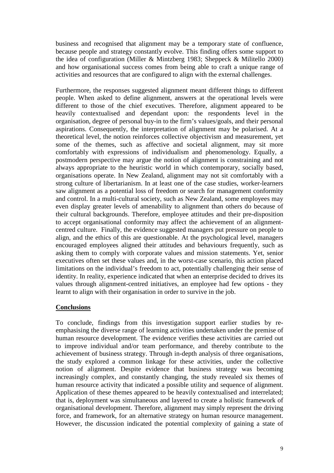business and recognised that alignment may be a temporary state of confluence, because people and strategy constantly evolve. This finding offers some support to the idea of configuration (Miller & Mintzberg 1983; Sheppeck & Militello 2000) and how organisational success comes from being able to craft a unique range of activities and resources that are configured to align with the external challenges.

Furthermore, the responses suggested alignment meant different things to different people. When asked to define alignment, answers at the operational levels were different to those of the chief executives. Therefore, alignment appeared to be heavily contextualised and dependant upon: the respondents level in the organisation, degree of personal buy-in to the firm's values/goals, and their personal aspirations. Consequently, the interpretation of alignment may be polarised. At a theoretical level, the notion reinforces collective objectivism and measurement, yet some of the themes, such as affective and societal alignment, may sit more comfortably with expressions of individualism and phenomenology. Equally, a postmodern perspective may argue the notion of alignment is constraining and not always appropriate to the heuristic world in which contemporary, socially based, organisations operate. In New Zealand, alignment may not sit comfortably with a strong culture of libertarianism. In at least one of the case studies, worker-learners saw alignment as a potential loss of freedom or search for management conformity and control. In a multi-cultural society, such as New Zealand, some employees may even display greater levels of amenability to alignment than others do because of their cultural backgrounds. Therefore, employee attitudes and their pre-disposition to accept organisational conformity may affect the achievement of an alignmentcentred culture. Finally, the evidence suggested managers put pressure on people to align, and the ethics of this are questionable. At the psychological level, managers encouraged employees aligned their attitudes and behaviours frequently, such as asking them to comply with corporate values and mission statements. Yet, senior executives often set these values and, in the worst-case scenario, this action placed limitations on the individual's freedom to act, potentially challenging their sense of identity. In reality, experience indicated that when an enterprise decided to drives its values through alignment-centred initiatives, an employee had few options - they learnt to align with their organisation in order to survive in the job.

## **Conclusions**

To conclude, findings from this investigation support earlier studies by reemphasising the diverse range of learning activities undertaken under the premise of human resource development. The evidence verifies these activities are carried out to improve individual and/or team performance, and thereby contribute to the achievement of business strategy. Through in-depth analysis of three organisations, the study explored a common linkage for these activities, under the collective notion of alignment. Despite evidence that business strategy was becoming increasingly complex, and constantly changing, the study revealed six themes of human resource activity that indicated a possible utility and sequence of alignment. Application of these themes appeared to be heavily contextualised and interrelated; that is, deployment was simultaneous and layered to create a holistic framework of organisational development. Therefore, alignment may simply represent the driving force, and framework, for an alternative strategy on human resource management. However, the discussion indicated the potential complexity of gaining a state of